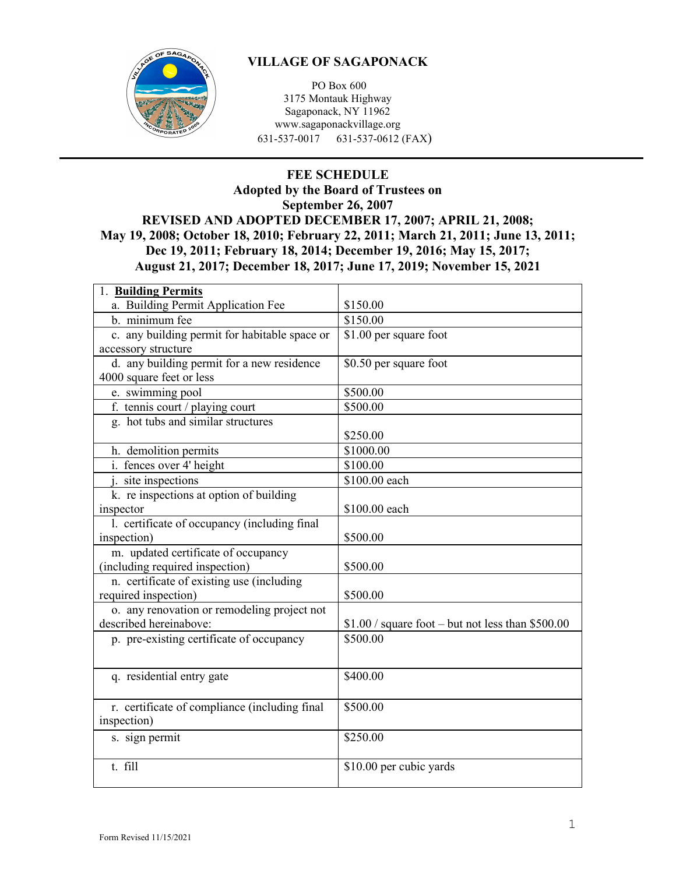

## **VILLAGE OF SAGAPONACK**

PO Box 600 3175 Montauk Highway Sagaponack, NY 11962 www.sagaponackvillage.org 631-537-0017 631-537-0612 (FAX)

## **FEE SCHEDULE Adopted by the Board of Trustees on September 26, 2007 REVISED AND ADOPTED DECEMBER 17, 2007; APRIL 21, 2008; May 19, 2008; October 18, 2010; February 22, 2011; March 21, 2011; June 13, 2011; Dec 19, 2011; February 18, 2014; December 19, 2016; May 15, 2017; August 21, 2017; December 18, 2017; June 17, 2019; November 15, 2021**

| 1. Building Permits                           |                                                   |
|-----------------------------------------------|---------------------------------------------------|
| a. Building Permit Application Fee            | \$150.00                                          |
| b. minimum fee                                | \$150.00                                          |
| c. any building permit for habitable space or | \$1.00 per square foot                            |
| accessory structure                           |                                                   |
| d. any building permit for a new residence    | \$0.50 per square foot                            |
| 4000 square feet or less                      |                                                   |
| e. swimming pool                              | \$500.00                                          |
| f. tennis court / playing court               | \$500.00                                          |
| g. hot tubs and similar structures            |                                                   |
|                                               | \$250.00                                          |
| h. demolition permits                         | \$1000.00                                         |
| i. fences over 4' height                      | \$100.00                                          |
| j. site inspections                           | \$100.00 each                                     |
| k. re inspections at option of building       |                                                   |
| inspector                                     | \$100.00 each                                     |
| 1. certificate of occupancy (including final  |                                                   |
| inspection)                                   | \$500.00                                          |
| m. updated certificate of occupancy           |                                                   |
| (including required inspection)               | \$500.00                                          |
| n. certificate of existing use (including     |                                                   |
| required inspection)                          | \$500.00                                          |
| o. any renovation or remodeling project not   |                                                   |
| described hereinabove:                        | $$1.00 / square foot - but not less than $500.00$ |
| p. pre-existing certificate of occupancy      | \$500.00                                          |
|                                               |                                                   |
| q. residential entry gate                     | \$400.00                                          |
|                                               |                                                   |
|                                               | \$500.00                                          |
| r. certificate of compliance (including final |                                                   |
| inspection)                                   |                                                   |
| s. sign permit                                | \$250.00                                          |
|                                               |                                                   |
| t. fill                                       | \$10.00 per cubic yards                           |
|                                               |                                                   |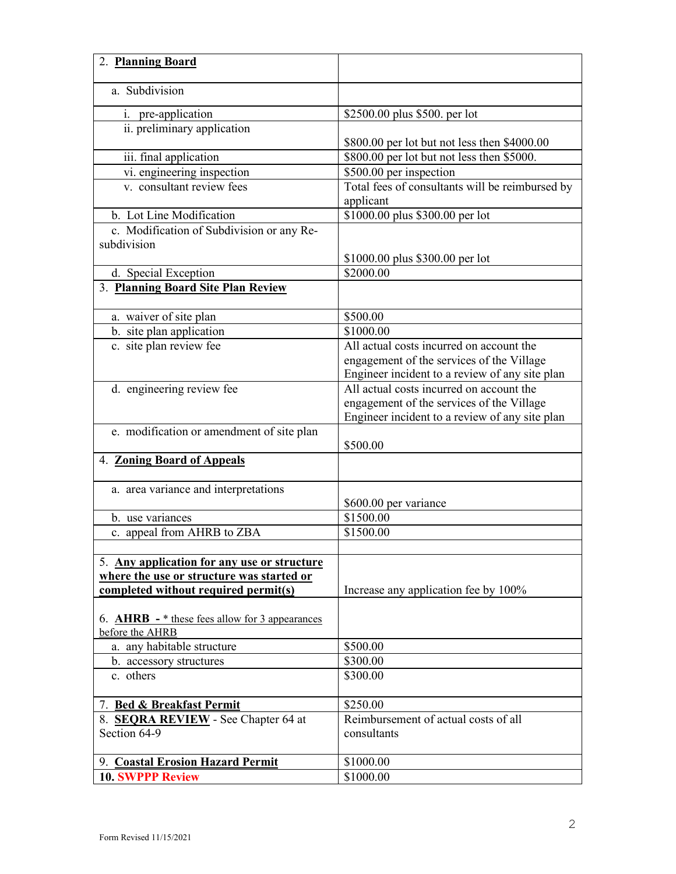| 2. Planning Board                                |                                                              |
|--------------------------------------------------|--------------------------------------------------------------|
| a. Subdivision                                   |                                                              |
| i. pre-application                               | \$2500.00 plus \$500. per lot                                |
| ii. preliminary application                      | \$800.00 per lot but not less then \$4000.00                 |
| iii. final application                           | \$800.00 per lot but not less then \$5000.                   |
| vi. engineering inspection                       | \$500.00 per inspection                                      |
| v. consultant review fees                        | Total fees of consultants will be reimbursed by<br>applicant |
| b. Lot Line Modification                         | \$1000.00 plus \$300.00 per lot                              |
| c. Modification of Subdivision or any Re-        |                                                              |
| subdivision                                      |                                                              |
|                                                  | \$1000.00 plus \$300.00 per lot                              |
| d. Special Exception                             | \$2000.00                                                    |
| 3. Planning Board Site Plan Review               |                                                              |
| a. waiver of site plan                           | \$500.00                                                     |
| b. site plan application                         | \$1000.00                                                    |
| c. site plan review fee                          | All actual costs incurred on account the                     |
|                                                  | engagement of the services of the Village                    |
|                                                  | Engineer incident to a review of any site plan               |
| d. engineering review fee                        | All actual costs incurred on account the                     |
|                                                  | engagement of the services of the Village                    |
|                                                  | Engineer incident to a review of any site plan               |
| e. modification or amendment of site plan        | \$500.00                                                     |
| 4. Zoning Board of Appeals                       |                                                              |
| a. area variance and interpretations             | \$600.00 per variance                                        |
| b. use variances                                 | \$1500.00                                                    |
| c. appeal from AHRB to ZBA                       | \$1500.00                                                    |
|                                                  |                                                              |
| 5. Any application for any use or structure      |                                                              |
| where the use or structure was started or        |                                                              |
| completed without required permit(s)             | Increase any application fee by 100%                         |
|                                                  |                                                              |
| 6. $AHRB - *$ these fees allow for 3 appearances |                                                              |
| before the AHRB                                  |                                                              |
| a. any habitable structure                       | \$500.00                                                     |
| b. accessory structures                          | \$300.00                                                     |
| c. others                                        | \$300.00                                                     |
| 7. Bed & Breakfast Permit                        | \$250.00                                                     |
| 8. SEQRA REVIEW - See Chapter 64 at              | Reimbursement of actual costs of all                         |
| Section 64-9                                     | consultants                                                  |
|                                                  |                                                              |
| 9. Coastal Erosion Hazard Permit                 | \$1000.00                                                    |
| <b>10. SWPPP Review</b>                          | \$1000.00                                                    |